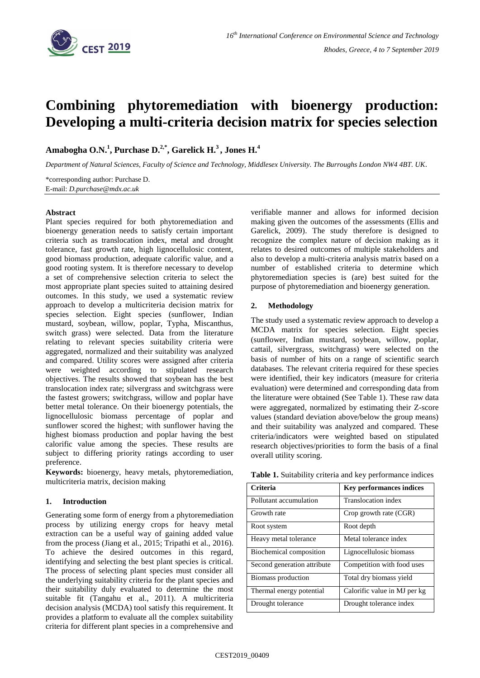

# **Combining phytoremediation with bioenergy production: Developing a multi-criteria decision matrix for species selection**

**Amabogha O.N.<sup>1</sup> , Purchase D.2,\* , Garelick H.<sup>3</sup> , Jones H.<sup>4</sup>**

*Department of Natural Sciences, Faculty of Science and Technology, Middlesex University. The Burroughs London NW4 4BT. UK.*

\*corresponding author: Purchase D. E-mail: *D.purchase@mdx.ac.uk*

### **Abstract**

Plant species required for both phytoremediation and bioenergy generation needs to satisfy certain important criteria such as translocation index, metal and drought tolerance, fast growth rate, high lignocellulosic content, good biomass production, adequate calorific value, and a good rooting system. It is therefore necessary to develop a set of comprehensive selection criteria to select the most appropriate plant species suited to attaining desired outcomes. In this study, we used a systematic review approach to develop a multicriteria decision matrix for species selection. Eight species (sunflower, Indian mustard, soybean, willow, poplar, Typha, Miscanthus, switch grass) were selected. Data from the literature relating to relevant species suitability criteria were aggregated, normalized and their suitability was analyzed and compared. Utility scores were assigned after criteria were weighted according to stipulated research objectives. The results showed that soybean has the best translocation index rate; silvergrass and switchgrass were the fastest growers; switchgrass, willow and poplar have better metal tolerance. On their bioenergy potentials, the lignocellulosic biomass percentage of poplar and sunflower scored the highest; with sunflower having the highest biomass production and poplar having the best calorific value among the species. These results are subject to differing priority ratings according to user preference.

**Keywords:** bioenergy, heavy metals, phytoremediation, multicriteria matrix, decision making

### **1. Introduction**

Generating some form of energy from a phytoremediation process by utilizing energy crops for heavy metal extraction can be a useful way of gaining added value from the process (Jiang et al., 2015; Tripathi et al., 2016). To achieve the desired outcomes in this regard, identifying and selecting the best plant species is critical. The process of selecting plant species must consider all the underlying suitability criteria for the plant species and their suitability duly evaluated to determine the most suitable fit (Tangahu et al., 2011). A multicriteria decision analysis (MCDA) tool satisfy this requirement. It provides a platform to evaluate all the complex suitability criteria for different plant species in a comprehensive and verifiable manner and allows for informed decision making given the outcomes of the assessments (Ellis and Garelick, 2009). The study therefore is designed to recognize the complex nature of decision making as it relates to desired outcomes of multiple stakeholders and also to develop a multi-criteria analysis matrix based on a number of established criteria to determine which phytoremediation species is (are) best suited for the purpose of phytoremediation and bioenergy generation.

### **2. Methodology**

The study used a systematic review approach to develop a MCDA matrix for species selection. Eight species (sunflower, Indian mustard, soybean, willow, poplar, cattail*,* silvergrass, switchgrass) were selected on the basis of number of hits on a range of scientific search databases. The relevant criteria required for these species were identified, their key indicators (measure for criteria evaluation) were determined and corresponding data from the literature were obtained (See Table 1). These raw data were aggregated, normalized by estimating their Z-score values (standard deviation above/below the group means) and their suitability was analyzed and compared. These criteria/indicators were weighted based on stipulated research objectives/priorities to form the basis of a final overall utility scoring.

|  |  | Table 1. Suitability criteria and key performance indices |
|--|--|-----------------------------------------------------------|
|--|--|-----------------------------------------------------------|

| Criteria                    | <b>Key performances indices</b> |
|-----------------------------|---------------------------------|
| Pollutant accumulation      | Translocation index             |
| Growth rate                 | Crop growth rate (CGR)          |
| Root system                 | Root depth                      |
| Heavy metal tolerance       | Metal tolerance index           |
| Biochemical composition     | Lignocellulosic biomass         |
| Second generation attribute | Competition with food uses      |
| Biomass production          | Total dry biomass yield         |
| Thermal energy potential    | Calorific value in MJ per kg    |
| Drought tolerance           | Drought tolerance index         |